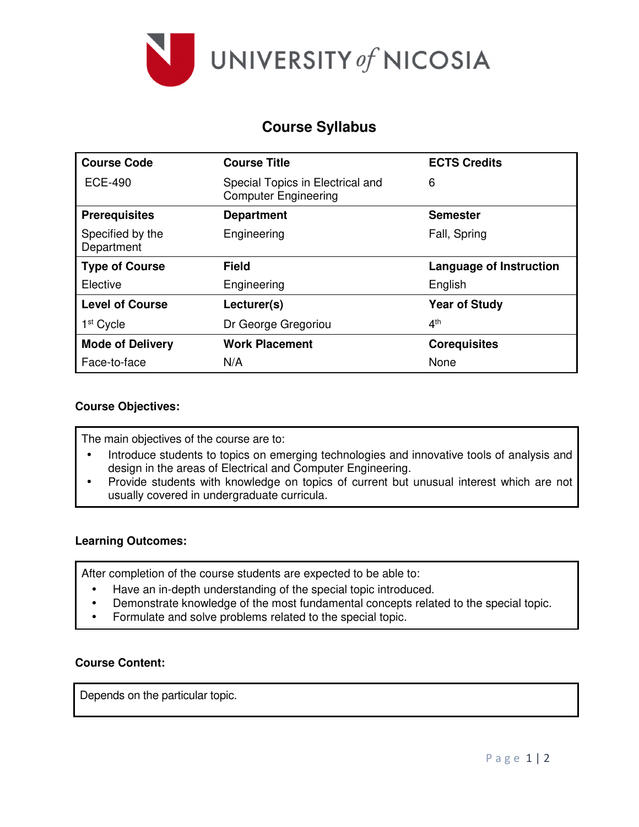

# **Course Syllabus**

| <b>Course Code</b>             | <b>Course Title</b>                                             | <b>ECTS Credits</b>            |
|--------------------------------|-----------------------------------------------------------------|--------------------------------|
| <b>ECE-490</b>                 | Special Topics in Electrical and<br><b>Computer Engineering</b> | 6                              |
| <b>Prerequisites</b>           | <b>Department</b>                                               | <b>Semester</b>                |
| Specified by the<br>Department | Engineering                                                     | Fall, Spring                   |
| <b>Type of Course</b>          | <b>Field</b>                                                    | <b>Language of Instruction</b> |
| Elective                       | Engineering                                                     | English                        |
| <b>Level of Course</b>         | Lecturer(s)                                                     | <b>Year of Study</b>           |
| 1 <sup>st</sup> Cycle          | Dr George Gregoriou                                             | 4 <sup>th</sup>                |
| <b>Mode of Delivery</b>        | <b>Work Placement</b>                                           | <b>Corequisites</b>            |
| Face-to-face                   | N/A                                                             | None                           |

### **Course Objectives:**

The main objectives of the course are to:

- Introduce students to topics on emerging technologies and innovative tools of analysis and design in the areas of Electrical and Computer Engineering.
- Provide students with knowledge on topics of current but unusual interest which are not usually covered in undergraduate curricula.

#### **Learning Outcomes:**

After completion of the course students are expected to be able to:

- Have an in-depth understanding of the special topic introduced.
- Demonstrate knowledge of the most fundamental concepts related to the special topic.
- Formulate and solve problems related to the special topic.

#### **Course Content:**

Depends on the particular topic.